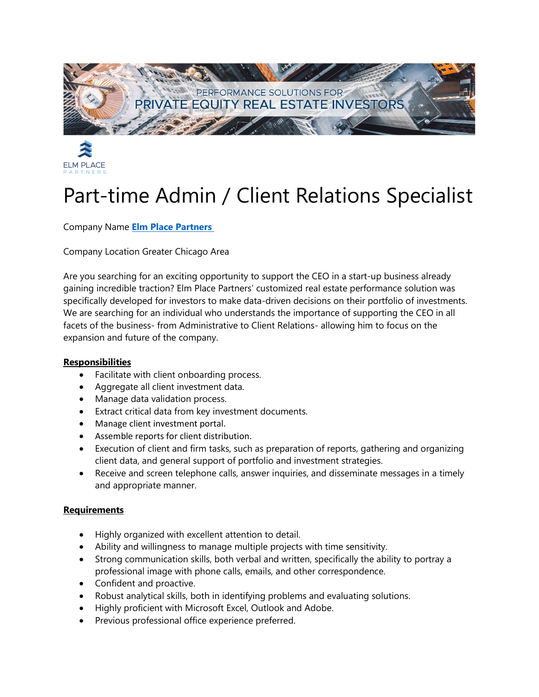



## Part-time Admin / Client Relations Specialist

Company Name **Elm [Place Partners](https://www.linkedin.com/company/elm-place-partners/life/)** 

Company Location Greater Chicago Area

Are you searching for an exciting opportunity to support the CEO in a start-up business already gaining incredible traction? Elm Place Partners' customized real estate performance solution was specifically developed for investors to make data-driven decisions on their portfolio of investments. We are searching for an individual who understands the importance of supporting the CEO in all facets of the business- from Administrative to Client Relations- allowing him to focus on the expansion and future of the company.

## **Responsibilities**

- Facilitate with client onboarding process.
- Aggregate all client investment data.
- Manage data validation process.
- Extract critical data from key investment documents.
- Manage client investment portal.
- Assemble reports for client distribution.
- Execution of client and firm tasks, such as preparation of reports, gathering and organizing client data, and general support of portfolio and investment strategies.
- Receive and screen telephone calls, answer inquiries, and disseminate messages in a timely and appropriate manner.

## **Requirements**

- Highly organized with excellent attention to detail.
- Ability and willingness to manage multiple projects with time sensitivity.
- Strong communication skills, both verbal and written, specifically the ability to portray a professional image with phone calls, emails, and other correspondence.
- Confident and proactive.
- Robust analytical skills, both in identifying problems and evaluating solutions.
- Highly proficient with Microsoft Excel, Outlook and Adobe.
- Previous professional office experience preferred.